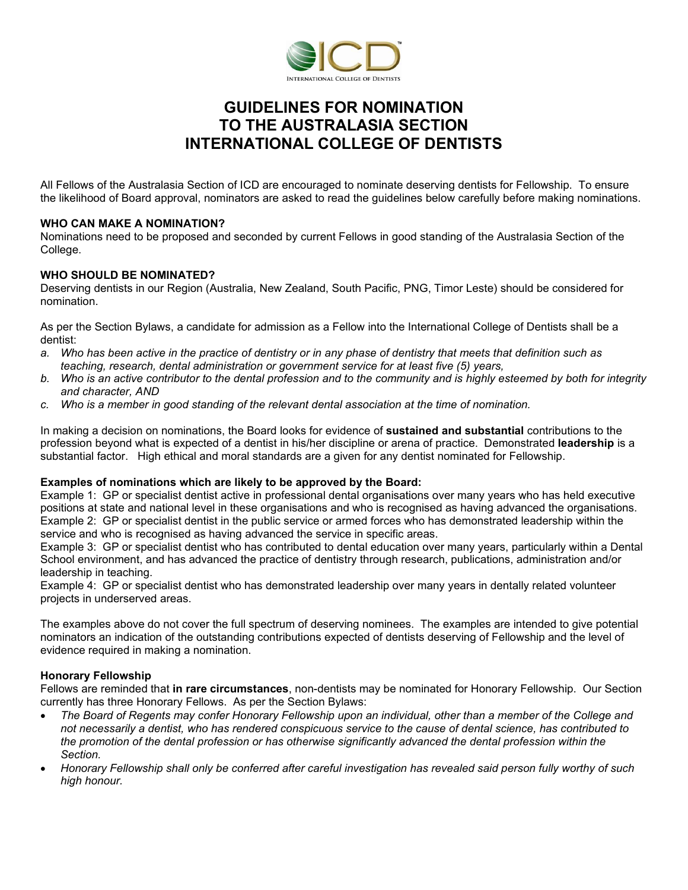

# **GUIDELINES FOR NOMINATION TO THE AUSTRALASIA SECTION INTERNATIONAL COLLEGE OF DENTISTS**

All Fellows of the Australasia Section of ICD are encouraged to nominate deserving dentists for Fellowship. To ensure the likelihood of Board approval, nominators are asked to read the guidelines below carefully before making nominations.

#### **WHO CAN MAKE A NOMINATION?**

Nominations need to be proposed and seconded by current Fellows in good standing of the Australasia Section of the College.

### **WHO SHOULD BE NOMINATED?**

Deserving dentists in our Region (Australia, New Zealand, South Pacific, PNG, Timor Leste) should be considered for nomination.

As per the Section Bylaws, a candidate for admission as a Fellow into the International College of Dentists shall be a dentist:

- *a. Who has been active in the practice of dentistry or in any phase of dentistry that meets that definition such as teaching, research, dental administration or government service for at least five (5) years,*
- *b. Who is an active contributor to the dental profession and to the community and is highly esteemed by both for integrity and character, AND*
- *c. Who is a member in good standing of the relevant dental association at the time of nomination.*

In making a decision on nominations, the Board looks for evidence of **sustained and substantial** contributions to the profession beyond what is expected of a dentist in his/her discipline or arena of practice. Demonstrated **leadership** is a substantial factor. High ethical and moral standards are a given for any dentist nominated for Fellowship.

## **Examples of nominations which are likely to be approved by the Board:**

Example 1: GP or specialist dentist active in professional dental organisations over many years who has held executive positions at state and national level in these organisations and who is recognised as having advanced the organisations. Example 2: GP or specialist dentist in the public service or armed forces who has demonstrated leadership within the service and who is recognised as having advanced the service in specific areas.

Example 3: GP or specialist dentist who has contributed to dental education over many years, particularly within a Dental School environment, and has advanced the practice of dentistry through research, publications, administration and/or leadership in teaching.

Example 4: GP or specialist dentist who has demonstrated leadership over many years in dentally related volunteer projects in underserved areas.

The examples above do not cover the full spectrum of deserving nominees. The examples are intended to give potential nominators an indication of the outstanding contributions expected of dentists deserving of Fellowship and the level of evidence required in making a nomination.

## **Honorary Fellowship**

Fellows are reminded that **in rare circumstances**, non-dentists may be nominated for Honorary Fellowship. Our Section currently has three Honorary Fellows. As per the Section Bylaws:

- *The Board of Regents may confer Honorary Fellowship upon an individual, other than a member of the College and not necessarily a dentist, who has rendered conspicuous service to the cause of dental science, has contributed to the promotion of the dental profession or has otherwise significantly advanced the dental profession within the Section.*
- *Honorary Fellowship shall only be conferred after careful investigation has revealed said person fully worthy of such high honour.*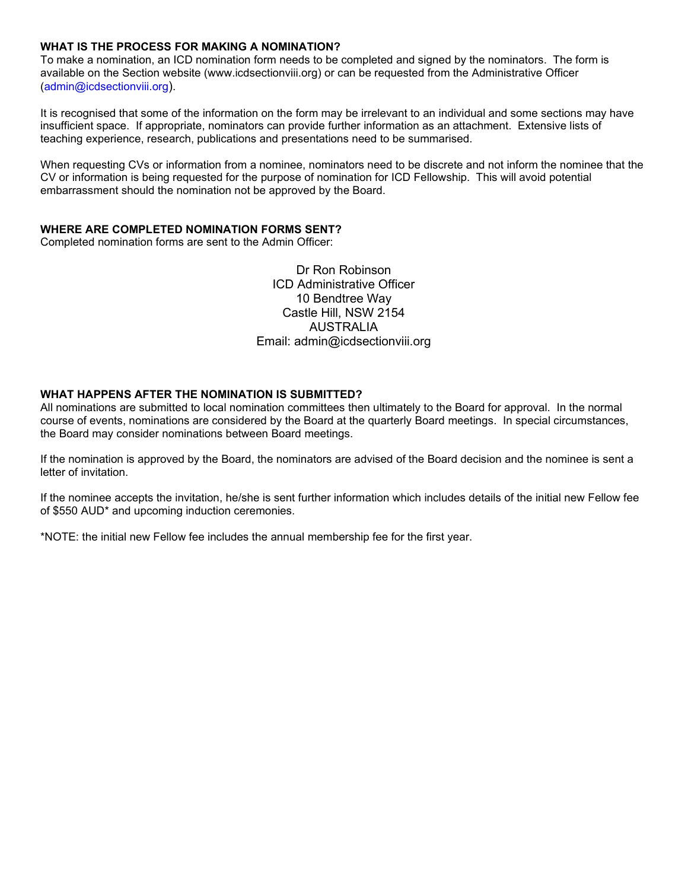### **WHAT IS THE PROCESS FOR MAKING A NOMINATION?**

To make a nomination, an ICD nomination form needs to be completed and signed by the nominators. The form is available on the Section website (www.icdsectionviii.org) or can be requested from the Administrative Officer [\(admin@icdsectionviii.org\)](mailto:admin@icdsectionviii.org).

It is recognised that some of the information on the form may be irrelevant to an individual and some sections may have insufficient space. If appropriate, nominators can provide further information as an attachment. Extensive lists of teaching experience, research, publications and presentations need to be summarised.

When requesting CVs or information from a nominee, nominators need to be discrete and not inform the nominee that the CV or information is being requested for the purpose of nomination for ICD Fellowship. This will avoid potential embarrassment should the nomination not be approved by the Board.

## **WHERE ARE COMPLETED NOMINATION FORMS SENT?**

Completed nomination forms are sent to the Admin Officer:

Dr Ron Robinson ICD Administrative Officer 10 Bendtree Way Castle Hill, NSW 2154 AUSTRALIA Email: [admin@icdsectionviii.org](mailto:admin@icdsectionviii.org)

#### **WHAT HAPPENS AFTER THE NOMINATION IS SUBMITTED?**

All nominations are submitted to local nomination committees then ultimately to the Board for approval. In the normal course of events, nominations are considered by the Board at the quarterly Board meetings. In special circumstances, the Board may consider nominations between Board meetings.

If the nomination is approved by the Board, the nominators are advised of the Board decision and the nominee is sent a letter of invitation.

If the nominee accepts the invitation, he/she is sent further information which includes details of the initial new Fellow fee of \$550 AUD\* and upcoming induction ceremonies.

\*NOTE: the initial new Fellow fee includes the annual membership fee for the first year.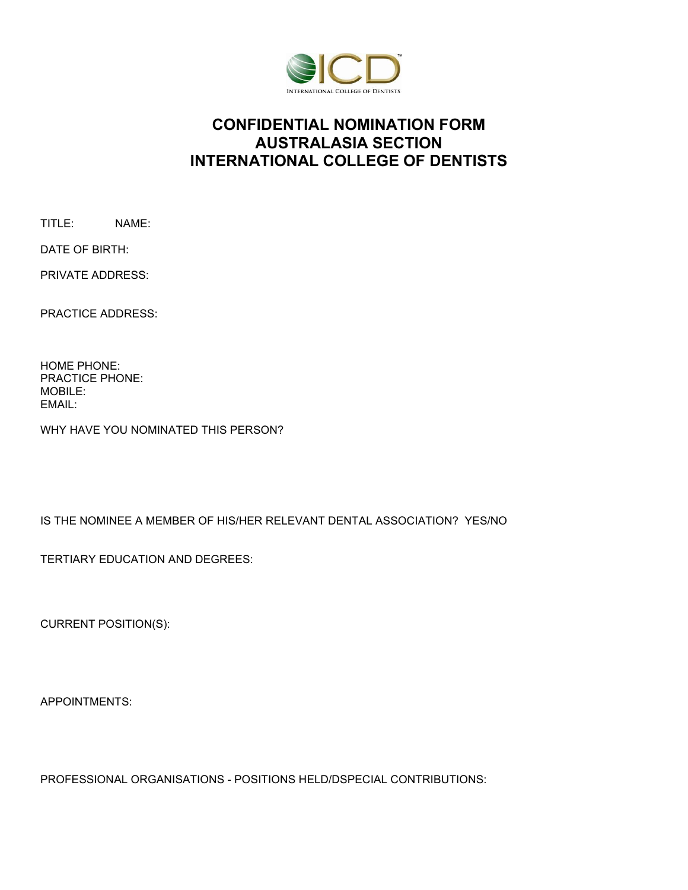

# **CONFIDENTIAL NOMINATION FORM AUSTRALASIA SECTION INTERNATIONAL COLLEGE OF DENTISTS**

TITLE: NAME:

PRIVATE ADDRESS:

DATE OF BIRTH:

PRACTICE ADDRESS:

HOME PHONE: PRACTICE PHONE: MOBILE: EMAIL:

WHY HAVE YOU NOMINATED THIS PERSON?

IS THE NOMINEE A MEMBER OF HIS/HER RELEVANT DENTAL ASSOCIATION? YES/NO

TERTIARY EDUCATION AND DEGREES:

CURRENT POSITION(S):

APPOINTMENTS:

PROFESSIONAL ORGANISATIONS - POSITIONS HELD/DSPECIAL CONTRIBUTIONS: